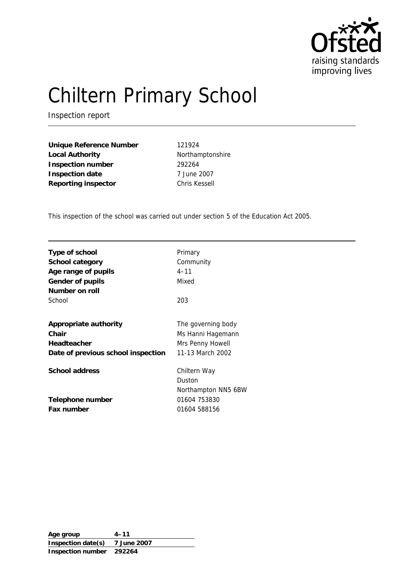

# Chiltern Primary School

Inspection report

**Unique Reference Number** 121924 Local Authority **Northamptonshire Inspection number** 292264 **Inspection date** 7 June 2007 **Reporting inspector** Chris Kessell

This inspection of the school was carried out under section 5 of the Education Act 2005.

| Type of school                     | Primary             |
|------------------------------------|---------------------|
| School category                    | Community           |
| Age range of pupils                | $4 - 11$            |
| Gender of pupils                   | Mixed               |
| Number on roll                     |                     |
| School                             | 203                 |
|                                    |                     |
| Appropriate authority              | The governing body  |
| Chair                              | Ms Hanni Hagemann   |
| Headteacher                        | Mrs Penny Howell    |
| Date of previous school inspection | 11-13 March 2002    |
| School address                     | Chiltern Way        |
|                                    | Duston              |
|                                    | Northampton NN5 6BW |
| Telephone number                   | 01604 753830        |
| Fax number                         | 01604 588156        |

**Age group 4–11 Inspection date(s) 7 June 2007 Inspection number 292264**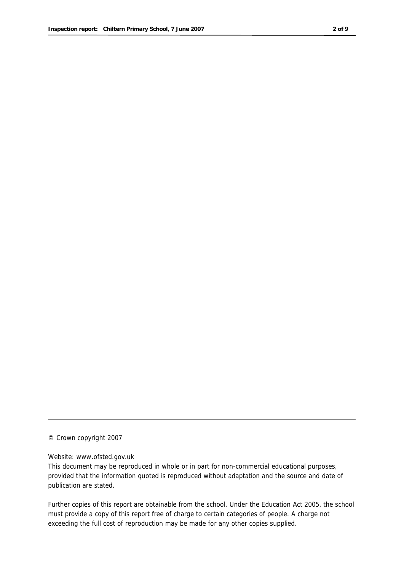© Crown copyright 2007

#### Website: www.ofsted.gov.uk

This document may be reproduced in whole or in part for non-commercial educational purposes, provided that the information quoted is reproduced without adaptation and the source and date of publication are stated.

Further copies of this report are obtainable from the school. Under the Education Act 2005, the school must provide a copy of this report free of charge to certain categories of people. A charge not exceeding the full cost of reproduction may be made for any other copies supplied.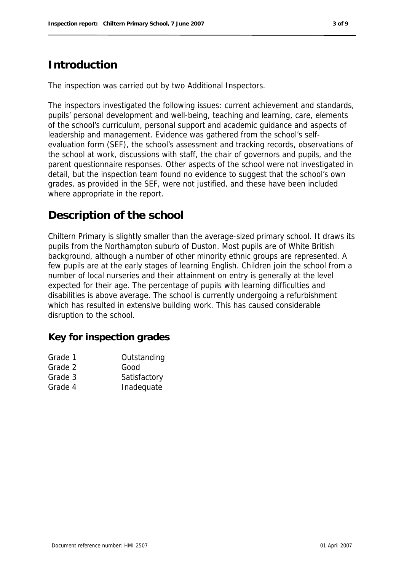The inspection was carried out by two Additional Inspectors.

The inspectors investigated the following issues: current achievement and standards, pupils' personal development and well-being, teaching and learning, care, elements of the school's curriculum, personal support and academic guidance and aspects of leadership and management. Evidence was gathered from the school's selfevaluation form (SEF), the school's assessment and tracking records, observations of the school at work, discussions with staff, the chair of governors and pupils, and the parent questionnaire responses. Other aspects of the school were not investigated in detail, but the inspection team found no evidence to suggest that the school's own grades, as provided in the SEF, were not justified, and these have been included where appropriate in the report.

### **Description of the school**

Chiltern Primary is slightly smaller than the average-sized primary school. It draws its pupils from the Northampton suburb of Duston. Most pupils are of White British background, although a number of other minority ethnic groups are represented. A few pupils are at the early stages of learning English. Children join the school from a number of local nurseries and their attainment on entry is generally at the level expected for their age. The percentage of pupils with learning difficulties and disabilities is above average. The school is currently undergoing a refurbishment which has resulted in extensive building work. This has caused considerable disruption to the school.

**Key for inspection grades**

| Grade 1 | Outstanding  |
|---------|--------------|
| Grade 2 | Good         |
| Grade 3 | Satisfactory |
| Grade 4 | Inadequate   |
|         |              |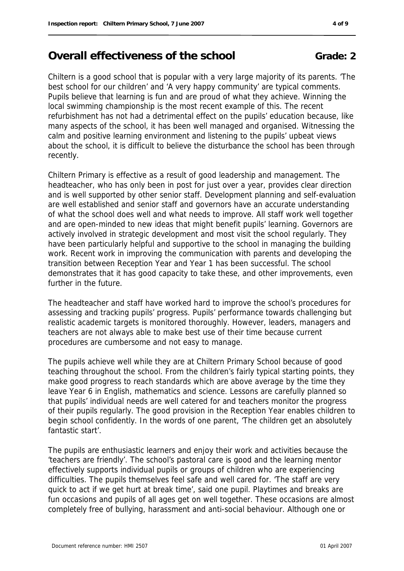## **Overall effectiveness of the school <b>Grade:** 2

Chiltern is a good school that is popular with a very large majority of its parents. 'The best school for our children' and 'A very happy community' are typical comments. Pupils believe that learning is fun and are proud of what they achieve. Winning the local swimming championship is the most recent example of this. The recent refurbishment has not had a detrimental effect on the pupils' education because, like many aspects of the school, it has been well managed and organised. Witnessing the calm and positive learning environment and listening to the pupils' upbeat views about the school, it is difficult to believe the disturbance the school has been through recently.

Chiltern Primary is effective as a result of good leadership and management. The headteacher, who has only been in post for just over a year, provides clear direction and is well supported by other senior staff. Development planning and self-evaluation are well established and senior staff and governors have an accurate understanding of what the school does well and what needs to improve. All staff work well together and are open-minded to new ideas that might benefit pupils' learning. Governors are actively involved in strategic development and most visit the school regularly. They have been particularly helpful and supportive to the school in managing the building work. Recent work in improving the communication with parents and developing the transition between Reception Year and Year 1 has been successful. The school demonstrates that it has good capacity to take these, and other improvements, even further in the future.

The headteacher and staff have worked hard to improve the school's procedures for assessing and tracking pupils' progress. Pupils' performance towards challenging but realistic academic targets is monitored thoroughly. However, leaders, managers and teachers are not always able to make best use of their time because current procedures are cumbersome and not easy to manage.

The pupils achieve well while they are at Chiltern Primary School because of good teaching throughout the school. From the children's fairly typical starting points, they make good progress to reach standards which are above average by the time they leave Year 6 in English, mathematics and science. Lessons are carefully planned so that pupils' individual needs are well catered for and teachers monitor the progress of their pupils regularly. The good provision in the Reception Year enables children to begin school confidently. In the words of one parent, 'The children get an absolutely fantastic start'.

The pupils are enthusiastic learners and enjoy their work and activities because the 'teachers are friendly'. The school's pastoral care is good and the learning mentor effectively supports individual pupils or groups of children who are experiencing difficulties. The pupils themselves feel safe and well cared for. 'The staff are very quick to act if we get hurt at break time', said one pupil. Playtimes and breaks are fun occasions and pupils of all ages get on well together. These occasions are almost completely free of bullying, harassment and anti-social behaviour. Although one or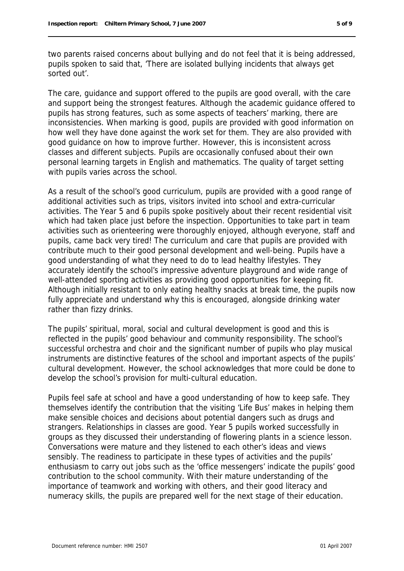two parents raised concerns about bullying and do not feel that it is being addressed, pupils spoken to said that, 'There are isolated bullying incidents that always get sorted out'.

The care, guidance and support offered to the pupils are good overall, with the care and support being the strongest features. Although the academic guidance offered to pupils has strong features, such as some aspects of teachers' marking, there are inconsistencies. When marking is good, pupils are provided with good information on how well they have done against the work set for them. They are also provided with good guidance on how to improve further. However, this is inconsistent across classes and different subjects. Pupils are occasionally confused about their own personal learning targets in English and mathematics. The quality of target setting with pupils varies across the school.

As a result of the school's good curriculum, pupils are provided with a good range of additional activities such as trips, visitors invited into school and extra-curricular activities. The Year 5 and 6 pupils spoke positively about their recent residential visit which had taken place just before the inspection. Opportunities to take part in team activities such as orienteering were thoroughly enjoyed, although everyone, staff and pupils, came back very tired! The curriculum and care that pupils are provided with contribute much to their good personal development and well-being. Pupils have a good understanding of what they need to do to lead healthy lifestyles. They accurately identify the school's impressive adventure playground and wide range of well-attended sporting activities as providing good opportunities for keeping fit. Although initially resistant to only eating healthy snacks at break time, the pupils now fully appreciate and understand why this is encouraged, alongside drinking water rather than fizzy drinks.

The pupils' spiritual, moral, social and cultural development is good and this is reflected in the pupils' good behaviour and community responsibility. The school's successful orchestra and choir and the significant number of pupils who play musical instruments are distinctive features of the school and important aspects of the pupils' cultural development. However, the school acknowledges that more could be done to develop the school's provision for multi-cultural education.

Pupils feel safe at school and have a good understanding of how to keep safe. They themselves identify the contribution that the visiting 'Life Bus' makes in helping them make sensible choices and decisions about potential dangers such as drugs and strangers. Relationships in classes are good. Year 5 pupils worked successfully in groups as they discussed their understanding of flowering plants in a science lesson. Conversations were mature and they listened to each other's ideas and views sensibly. The readiness to participate in these types of activities and the pupils' enthusiasm to carry out jobs such as the 'office messengers' indicate the pupils' good contribution to the school community. With their mature understanding of the importance of teamwork and working with others, and their good literacy and numeracy skills, the pupils are prepared well for the next stage of their education.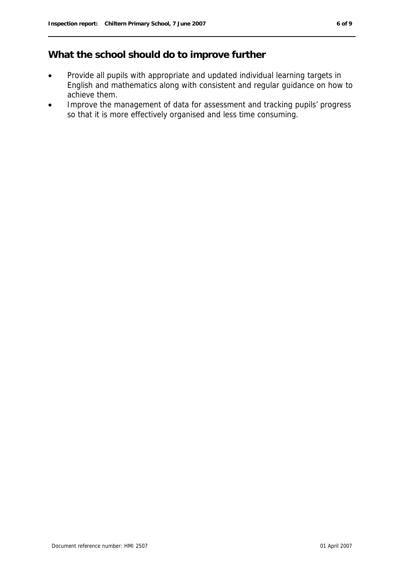## **What the school should do to improve further**

- Provide all pupils with appropriate and updated individual learning targets in English and mathematics along with consistent and regular guidance on how to achieve them.
- Improve the management of data for assessment and tracking pupils' progress so that it is more effectively organised and less time consuming.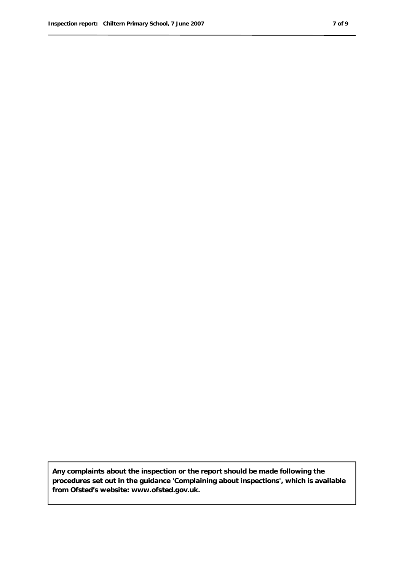**Any complaints about the inspection or the report should be made following the procedures set out in the guidance 'Complaining about inspections', which is available from Ofsted's website: www.ofsted.gov.uk.**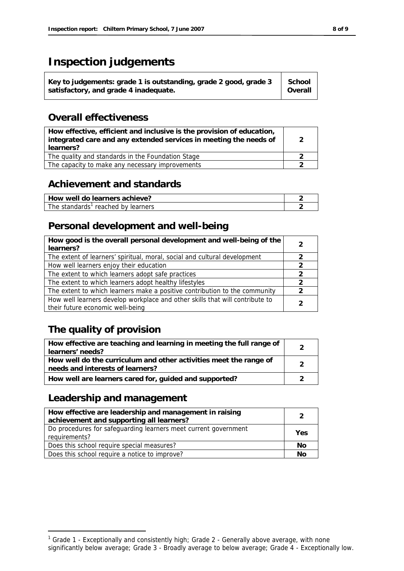## **Inspection judgements**

| Key to judgements: grade 1 is outstanding, grade 2 good, grade 3 | School  |
|------------------------------------------------------------------|---------|
| satisfactory, and grade 4 inadequate.                            | Overall |

#### **Overall effectiveness**

| How effective, efficient and inclusive is the provision of education,<br>integrated care and any extended services in meeting the needs of<br>learners? |  |
|---------------------------------------------------------------------------------------------------------------------------------------------------------|--|
| The quality and standards in the Foundation Stage                                                                                                       |  |
| The capacity to make any necessary improvements                                                                                                         |  |

#### **Achievement and standards**

| l How well do learners achieve?    |  |
|------------------------------------|--|
| The standards' reached by learners |  |

#### **Personal development and well-being**

| How good is the overall personal development and well-being of the<br>learners? |               |
|---------------------------------------------------------------------------------|---------------|
| The extent of learners' spiritual, moral, social and cultural development       | $\mathcal{P}$ |
| How well learners enjoy their education                                         | $\mathcal{P}$ |
| The extent to which learners adopt safe practices                               |               |
| The extent to which learners adopt healthy lifestyles                           |               |
| The extent to which learners make a positive contribution to the community      |               |
| How well learners develop workplace and other skills that will contribute to    | っ             |
| their future economic well-being                                                |               |

## **The quality of provision**

| How effective are teaching and learning in meeting the full range of<br>learners' needs?              |  |
|-------------------------------------------------------------------------------------------------------|--|
| How well do the curriculum and other activities meet the range of<br>needs and interests of learners? |  |
| How well are learners cared for, guided and supported?                                                |  |

#### **Leadership and management**

-

| How effective are leadership and management in raising<br>achievement and supporting all learners? |     |
|----------------------------------------------------------------------------------------------------|-----|
| Do procedures for safeguarding learners meet current government<br>requirements?                   | Yes |
| Does this school require special measures?                                                         | No  |
| Does this school require a notice to improve?                                                      |     |

<sup>&</sup>lt;sup>1</sup> Grade 1 - Exceptionally and consistently high; Grade 2 - Generally above average, with none significantly below average; Grade 3 - Broadly average to below average; Grade 4 - Exceptionally low.